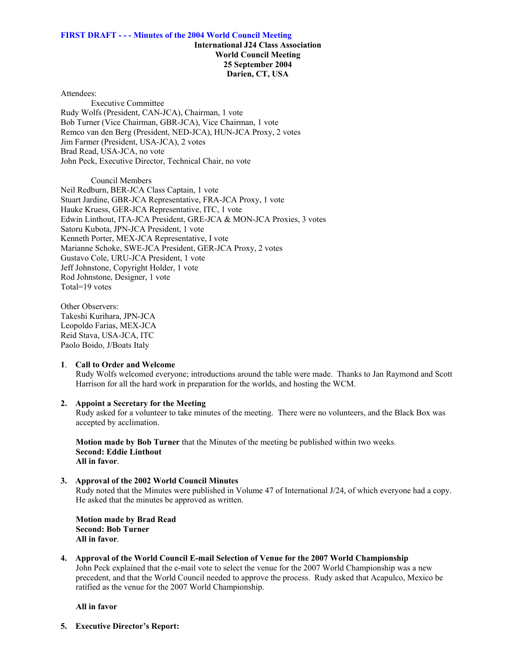### **International J24 Class Association World Council Meeting 25 September 2004 Darien, CT, USA**

Attendees:

 Executive Committee Rudy Wolfs (President, CAN-JCA), Chairman, 1 vote Bob Turner (Vice Chairman, GBR-JCA), Vice Chairman, 1 vote Remco van den Berg (President, NED-JCA), HUN-JCA Proxy, 2 votes Jim Farmer (President, USA-JCA), 2 votes Brad Read, USA-JCA, no vote John Peck, Executive Director, Technical Chair, no vote

Council Members

Neil Redburn, BER-JCA Class Captain, 1 vote Stuart Jardine, GBR-JCA Representative, FRA-JCA Proxy, 1 vote Hauke Kruess, GER-JCA Representative, ITC, 1 vote Edwin Linthout, ITA-JCA President, GRE-JCA & MON-JCA Proxies, 3 votes Satoru Kubota, JPN-JCA President, 1 vote Kenneth Porter, MEX-JCA Representative, I vote Marianne Schoke, SWE-JCA President, GER-JCA Proxy, 2 votes Gustavo Cole, URU-JCA President, 1 vote Jeff Johnstone, Copyright Holder, 1 vote Rod Johnstone, Designer, 1 vote Total=19 votes

Other Observers: Takeshi Kurihara, JPN-JCA Leopoldo Farias, MEX-JCA Reid Stava, USA-JCA, ITC Paolo Boido, J/Boats Italy

### **1**. **Call to Order and Welcome**

Rudy Wolfs welcomed everyone; introductions around the table were made. Thanks to Jan Raymond and Scott Harrison for all the hard work in preparation for the worlds, and hosting the WCM.

### **2. Appoint a Secretary for the Meeting**

Rudy asked for a volunteer to take minutes of the meeting. There were no volunteers, and the Black Box was accepted by acclimation.

**Motion made by Bob Turner** that the Minutes of the meeting be published within two weeks. **Second: Eddie Linthout All in favor**.

### **3. Approval of the 2002 World Council Minutes**

Rudy noted that the Minutes were published in Volume 47 of International J/24, of which everyone had a copy. He asked that the minutes be approved as written.

**Motion made by Brad Read Second: Bob Turner All in favor**.

**4. Approval of the World Council E-mail Selection of Venue for the 2007 World Championship** John Peck explained that the e-mail vote to select the venue for the 2007 World Championship was a new precedent, and that the World Council needed to approve the process. Rudy asked that Acapulco, Mexico be ratified as the venue for the 2007 World Championship.

### **All in favor**

**5. Executive Director's Report:**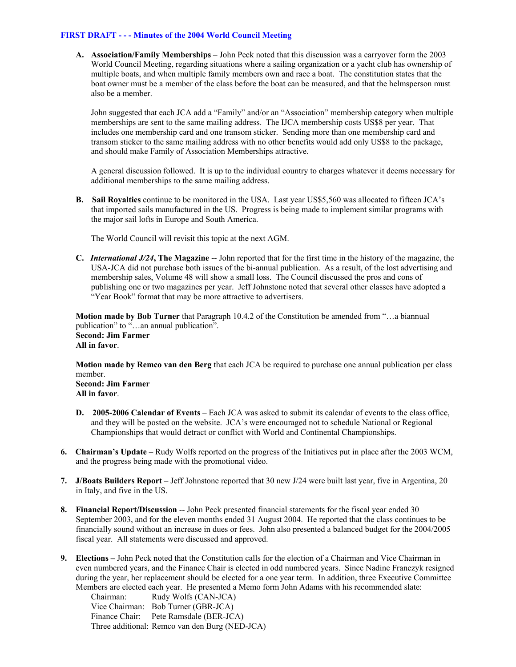**A. Association/Family Memberships** – John Peck noted that this discussion was a carryover form the 2003 World Council Meeting, regarding situations where a sailing organization or a yacht club has ownership of multiple boats, and when multiple family members own and race a boat. The constitution states that the boat owner must be a member of the class before the boat can be measured, and that the helmsperson must also be a member.

John suggested that each JCA add a "Family" and/or an "Association" membership category when multiple memberships are sent to the same mailing address. The IJCA membership costs US\$8 per year. That includes one membership card and one transom sticker. Sending more than one membership card and transom sticker to the same mailing address with no other benefits would add only US\$8 to the package, and should make Family of Association Memberships attractive.

A general discussion followed. It is up to the individual country to charges whatever it deems necessary for additional memberships to the same mailing address.

**B. Sail Royalties** continue to be monitored in the USA. Last year US\$5,560 was allocated to fifteen JCA's that imported sails manufactured in the US. Progress is being made to implement similar programs with the major sail lofts in Europe and South America.

The World Council will revisit this topic at the next AGM.

**C.** *International J/24***, The Magazine** -- John reported that for the first time in the history of the magazine, the USA-JCA did not purchase both issues of the bi-annual publication. As a result, of the lost advertising and membership sales, Volume 48 will show a small loss. The Council discussed the pros and cons of publishing one or two magazines per year. Jeff Johnstone noted that several other classes have adopted a "Year Book" format that may be more attractive to advertisers.

**Motion made by Bob Turner** that Paragraph 10.4.2 of the Constitution be amended from "…a biannual publication" to "…an annual publication". **Second: Jim Farmer All in favor**.

**Motion made by Remco van den Berg** that each JCA be required to purchase one annual publication per class member. **Second: Jim Farmer All in favor**.

- **D. 2005-2006 Calendar of Events** Each JCA was asked to submit its calendar of events to the class office, and they will be posted on the website. JCA's were encouraged not to schedule National or Regional Championships that would detract or conflict with World and Continental Championships.
- **6. Chairman's Update**  Rudy Wolfs reported on the progress of the Initiatives put in place after the 2003 WCM, and the progress being made with the promotional video.
- **7. J/Boats Builders Report**  Jeff Johnstone reported that 30 new J/24 were built last year, five in Argentina, 20 in Italy, and five in the US.
- **8. Financial Report/Discussion** -- John Peck presented financial statements for the fiscal year ended 30 September 2003, and for the eleven months ended 31 August 2004. He reported that the class continues to be financially sound without an increase in dues or fees. John also presented a balanced budget for the 2004/2005 fiscal year. All statements were discussed and approved.
- **9. Elections –** John Peck noted that the Constitution calls for the election of a Chairman and Vice Chairman in even numbered years, and the Finance Chair is elected in odd numbered years. Since Nadine Franczyk resigned during the year, her replacement should be elected for a one year term. In addition, three Executive Committee Members are elected each year. He presented a Memo form John Adams with his recommended slate:

| Chairman:      | Rudy Wolfs (CAN-JCA)                           |
|----------------|------------------------------------------------|
| Vice Chairman: | Bob Turner (GBR-JCA)                           |
|                | Finance Chair: Pete Ramsdale (BER-JCA)         |
|                | Three additional: Remco van den Burg (NED-JCA) |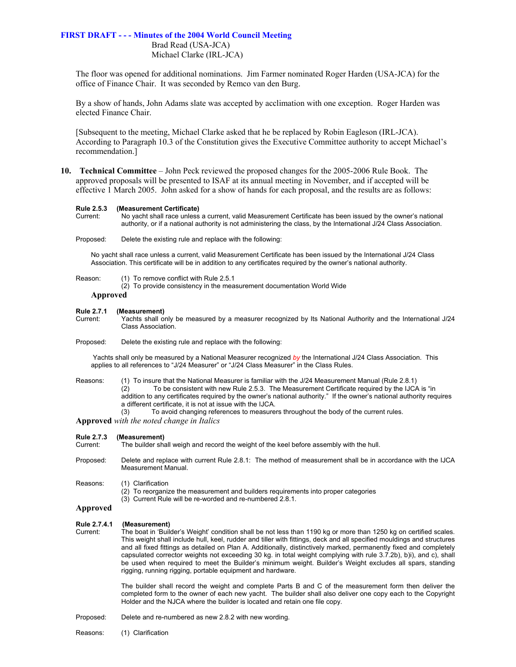Brad Read (USA-JCA) Michael Clarke (IRL-JCA)

The floor was opened for additional nominations. Jim Farmer nominated Roger Harden (USA-JCA) for the office of Finance Chair. It was seconded by Remco van den Burg.

By a show of hands, John Adams slate was accepted by acclimation with one exception. Roger Harden was elected Finance Chair.

[Subsequent to the meeting, Michael Clarke asked that he be replaced by Robin Eagleson (IRL-JCA). According to Paragraph 10.3 of the Constitution gives the Executive Committee authority to accept Michael's recommendation.]

**10. Technical Committee** – John Peck reviewed the proposed changes for the 2005-2006 Rule Book. The approved proposals will be presented to ISAF at its annual meeting in November, and if accepted will be effective 1 March 2005. John asked for a show of hands for each proposal, and the results are as follows:

#### **Rule 2.5.3 (Measurement Certificate)**

Current: No yacht shall race unless a current, valid Measurement Certificate has been issued by the owner's national authority, or if a national authority is not administering the class, by the International J/24 Class Association.

Proposed: Delete the existing rule and replace with the following:

No yacht shall race unless a current, valid Measurement Certificate has been issued by the International J/24 Class Association. This certificate will be in addition to any certificates required by the owner's national authority.

Reason: (1) To remove conflict with Rule 2.5.1

(2) To provide consistency in the measurement documentation World Wide

### **Approved**

**Rule 2.7.1 (Measurement)** 

Current: Yachts shall only be measured by a measurer recognized by Its National Authority and the International J/24 Class Association.

Proposed: Delete the existing rule and replace with the following:

Yachts shall only be measured by a National Measurer recognized *by* the International J/24 Class Association. This applies to all references to "J/24 Measurer" or "J/24 Class Measurer" in the Class Rules.

Reasons: (1) To insure that the National Measurer is familiar with the J/24 Measurement Manual (Rule 2.8.1) (2) To be consistent with new Rule 2.5.3. The Measurement Certificate required by the IJCA is "in addition to any certificates required by the owner's national authority." If the owner's national authority requires a different certificate, it is not at issue with the IJCA.

(3) To avoid changing references to measurers throughout the body of the current rules.

**Approved** *with the noted change in Italics*

| <b>Rule 2.7.3</b><br>Current: | (Measurement)<br>The builder shall weigh and record the weight of the keel before assembly with the hull.                                                                                                                                                                                                                                                                                                                                                                                                                                                                                                                                                                           |
|-------------------------------|-------------------------------------------------------------------------------------------------------------------------------------------------------------------------------------------------------------------------------------------------------------------------------------------------------------------------------------------------------------------------------------------------------------------------------------------------------------------------------------------------------------------------------------------------------------------------------------------------------------------------------------------------------------------------------------|
| Proposed:                     | Delete and replace with current Rule 2.8.1: The method of measurement shall be in accordance with the IJCA<br>Measurement Manual.                                                                                                                                                                                                                                                                                                                                                                                                                                                                                                                                                   |
| Reasons:                      | (1) Clarification<br>(2) To reorganize the measurement and builders requirements into proper categories<br>(3) Current Rule will be re-worded and re-numbered 2.8.1.                                                                                                                                                                                                                                                                                                                                                                                                                                                                                                                |
| Approved                      |                                                                                                                                                                                                                                                                                                                                                                                                                                                                                                                                                                                                                                                                                     |
| Rule 2.7.4.1<br>Current:      | (Measurement)<br>The boat in 'Builder's Weight' condition shall be not less than 1190 kg or more than 1250 kg on certified scales.<br>This weight shall include hull, keel, rudder and tiller with fittings, deck and all specified mouldings and structures<br>and all fixed fittings as detailed on Plan A. Additionally, distinctively marked, permanently fixed and completely<br>capsulated corrector weights not exceeding 30 kg. in total weight complying with rule 3.7.2b), b)i), and c), shall<br>be used when required to meet the Builder's minimum weight. Builder's Weight excludes all spars, standing<br>rigging, running rigging, portable equipment and hardware. |
|                               | The builder shall record the weight and complete Parts B and C of the measurement form then deliver the<br>completed form to the owner of each new yacht. The builder shall also deliver one copy each to the Copyright<br>Holder and the NJCA where the builder is located and retain one file copy.                                                                                                                                                                                                                                                                                                                                                                               |
| Proposed:                     | Delete and re-numbered as new 2.8.2 with new wording.                                                                                                                                                                                                                                                                                                                                                                                                                                                                                                                                                                                                                               |

Reasons: (1) Clarification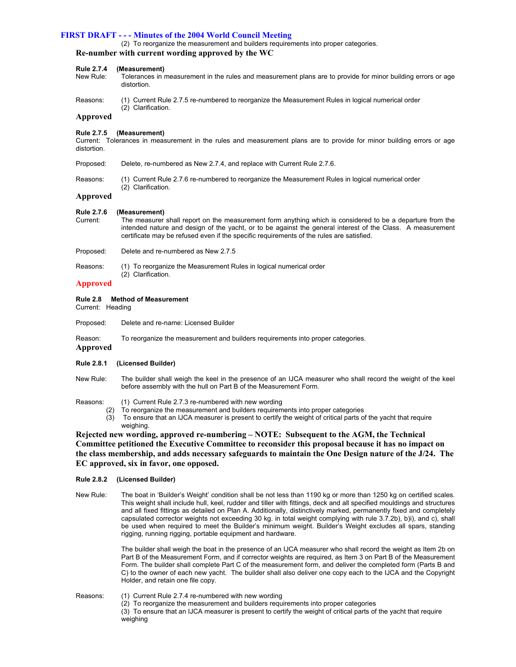(2) To reorganize the measurement and builders requirements into proper categories.

#### **Re-number with current wording approved by the WC**

#### **Rule 2.7.4 (Measurement)**

- New Rule: Tolerances in measurement in the rules and measurement plans are to provide for minor building errors or age distortion.
- Reasons: (1) Current Rule 2.7.5 re-numbered to reorganize the Measurement Rules in logical numerical order (2) Clarification.

#### **Approved**

#### **Rule 2.7.5 (Measurement)**

Current: Tolerances in measurement in the rules and measurement plans are to provide for minor building errors or age distortion.

- Proposed: Delete, re-numbered as New 2.7.4, and replace with Current Rule 2.7.6.
- Reasons: (1) Current Rule 2.7.6 re-numbered to reorganize the Measurement Rules in logical numerical order (2) Clarification.

#### **Approved**

#### **Rule 2.7.6 (Measurement)**

- Current: The measurer shall report on the measurement form anything which is considered to be a departure from the intended nature and design of the yacht, or to be against the general interest of the Class. A measurement certificate may be refused even if the specific requirements of the rules are satisfied.
- Proposed: Delete and re-numbered as New 2.7.5
- Reasons: (1) To reorganize the Measurement Rules in logical numerical order (2) Clarification.

#### **Approved**

#### **Rule 2.8 Method of Measurement**

Current: Heading

- Proposed: Delete and re-name: Licensed Builder
- Reason: To reorganize the measurement and builders requirements into proper categories.
- **Approved**

#### **Rule 2.8.1 (Licensed Builder)**

- New Rule: The builder shall weigh the keel in the presence of an IJCA measurer who shall record the weight of the keel before assembly with the hull on Part B of the Measurement Form.
- Reasons: (1) Current Rule 2.7.3 re-numbered with new wording
	- (2) To reorganize the measurement and builders requirements into proper categories
		- (3) To ensure that an IJCA measurer is present to certify the weight of critical parts of the yacht that require weighing.

### **Rejected new wording, approved re-numbering – NOTE: Subsequent to the AGM, the Technical Committee petitioned the Executive Committee to reconsider this proposal because it has no impact on the class membership, and adds necessary safeguards to maintain the One Design nature of the J/24. The EC approved, six in favor, one opposed.**

#### **Rule 2.8.2 (Licensed Builder)**

New Rule: The boat in 'Builder's Weight' condition shall be not less than 1190 kg or more than 1250 kg on certified scales. This weight shall include hull, keel, rudder and tiller with fittings, deck and all specified mouldings and structures and all fixed fittings as detailed on Plan A. Additionally, distinctively marked, permanently fixed and completely capsulated corrector weights not exceeding 30 kg. in total weight complying with rule 3.7.2b), b)i), and c), shall be used when required to meet the Builder's minimum weight. Builder's Weight excludes all spars, standing rigging, running rigging, portable equipment and hardware.

> The builder shall weigh the boat in the presence of an IJCA measurer who shall record the weight as Item 2b on Part B of the Measurement Form, and if corrector weights are required, as Item 3 on Part B of the Measurement Form. The builder shall complete Part C of the measurement form, and deliver the completed form (Parts B and C) to the owner of each new yacht. The builder shall also deliver one copy each to the IJCA and the Copyright Holder, and retain one file copy.

- Reasons: (1) Current Rule 2.7.4 re-numbered with new wording
	- (2) To reorganize the measurement and builders requirements into proper categories (3) To ensure that an IJCA measurer is present to certify the weight of critical parts of the yacht that require weighing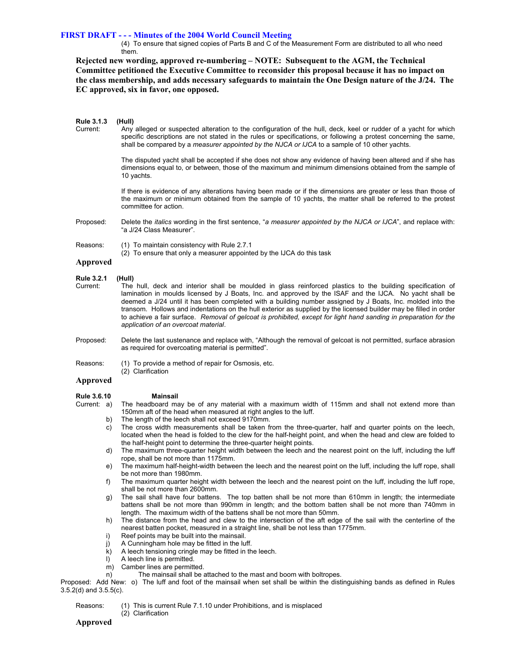(4) To ensure that signed copies of Parts B and C of the Measurement Form are distributed to all who need them.

**Rejected new wording, approved re-numbering – NOTE: Subsequent to the AGM, the Technical Committee petitioned the Executive Committee to reconsider this proposal because it has no impact on the class membership, and adds necessary safeguards to maintain the One Design nature of the J/24. The EC approved, six in favor, one opposed.**

| <b>Rule 3.1.3</b><br>Current: | (Hull)<br>Any alleged or suspected alteration to the configuration of the hull, deck, keel or rudder of a yacht for which<br>specific descriptions are not stated in the rules or specifications, or following a protest concerning the same,<br>shall be compared by a <i>measurer appointed by the NJCA or IJCA</i> to a sample of 10 other yachts.                                                                                                                                                                                                                                   |
|-------------------------------|-----------------------------------------------------------------------------------------------------------------------------------------------------------------------------------------------------------------------------------------------------------------------------------------------------------------------------------------------------------------------------------------------------------------------------------------------------------------------------------------------------------------------------------------------------------------------------------------|
|                               | The disputed yacht shall be accepted if she does not show any evidence of having been altered and if she has<br>dimensions equal to, or between, those of the maximum and minimum dimensions obtained from the sample of<br>10 yachts.                                                                                                                                                                                                                                                                                                                                                  |
|                               | If there is evidence of any alterations having been made or if the dimensions are greater or less than those of<br>the maximum or minimum obtained from the sample of 10 yachts, the matter shall be referred to the protest<br>committee for action.                                                                                                                                                                                                                                                                                                                                   |
| Proposed:                     | Delete the <i>italics</i> wording in the first sentence, "a measurer appointed by the NJCA or IJCA", and replace with:<br>"a J/24 Class Measurer".                                                                                                                                                                                                                                                                                                                                                                                                                                      |
| Reasons:<br>Approved          | (1) To maintain consistency with Rule 2.7.1<br>(2) To ensure that only a measurer appointed by the IJCA do this task                                                                                                                                                                                                                                                                                                                                                                                                                                                                    |
|                               |                                                                                                                                                                                                                                                                                                                                                                                                                                                                                                                                                                                         |
| <b>Rule 3.2.1</b><br>Current: | (Hull)<br>The hull, deck and interior shall be moulded in glass reinforced plastics to the building specification of<br>lamination in moulds licensed by J Boats, Inc. and approved by the ISAF and the IJCA. No yacht shall be<br>deemed a J/24 until it has been completed with a building number assigned by J Boats, Inc. molded into the<br>transom. Hollows and indentations on the hull exterior as supplied by the licensed builder may be filled in order<br>to achieve a fair surface. Removal of gelcoat is prohibited, except for light hand sanding in preparation for the |

- Proposed: Delete the last sustenance and replace with, "Although the removal of gelcoat is not permitted, surface abrasion as required for overcoating material is permitted".
- Reasons: (1) To provide a method of repair for Osmosis, etc.

*application of an overcoat material*.

(2) Clarification

#### **Approved**

- **Rule 3.6.10** Mainsail<br>Current: a) The headboard ma The headboard may be of any material with a maximum width of 115mm and shall not extend more than 150mm aft of the head when measured at right angles to the luff.
	- b) The length of the leech shall not exceed 9170mm.
	- c) The cross width measurements shall be taken from the three-quarter, half and quarter points on the leech, located when the head is folded to the clew for the half-height point, and when the head and clew are folded to the half-height point to determine the three-quarter height points.
	- d) The maximum three-quarter height width between the leech and the nearest point on the luff, including the luff rope, shall be not more than 1175mm.
	- e) The maximum half-height-width between the leech and the nearest point on the luff, including the luff rope, shall be not more than 1980mm.
	- f) The maximum quarter height width between the leech and the nearest point on the luff, including the luff rope, shall be not more than 2600mm.
	- g) The sail shall have four battens. The top batten shall be not more than 610mm in length; the intermediate battens shall be not more than 990mm in length; and the bottom batten shall be not more than 740mm in length. The maximum width of the battens shall be not more than 50mm.
	- h) The distance from the head and clew to the intersection of the aft edge of the sail with the centerline of the nearest batten pocket, measured in a straight line, shall be not less than 1775mm.
	- i) Reef points may be built into the mainsail.
	- j) A Cunningham hole may be fitted in the luff.
	- k) A leech tensioning cringle may be fitted in the leech.
	- l) A leech line is permitted.
	- m) Camber lines are permitted.
	- n) The mainsail shall be attached to the mast and boom with boltropes.

Proposed: Add New: o) The luff and foot of the mainsail when set shall be within the distinguishing bands as defined in Rules 3.5.2(d) and 3.5.5(c).

- Reasons: (1) This is current Rule 7.1.10 under Prohibitions, and is misplaced
	- (2) Clarification

#### **Approved**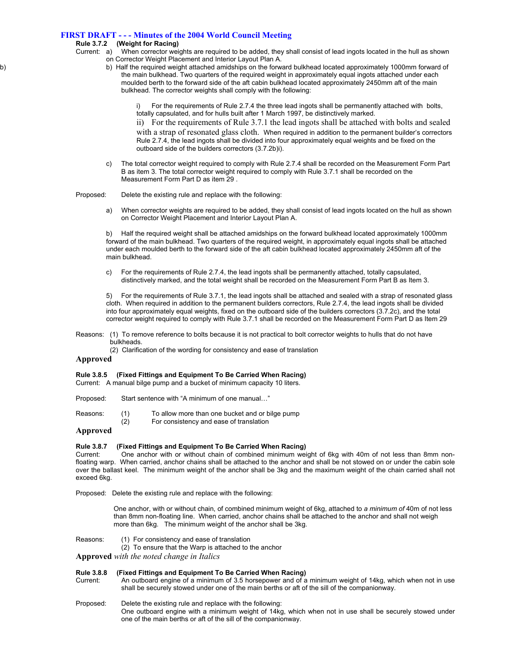## **Rule 3.7.2 (Weight for Racing)**

- Current: a) When corrector weights are required to be added, they shall consist of lead ingots located in the hull as shown on Corrector Weight Placement and Interior Layout Plan A.
- b) b) Half the required weight attached amidships on the forward bulkhead located approximately 1000mm forward of the main bulkhead. Two quarters of the required weight in approximately equal ingots attached under each moulded berth to the forward side of the aft cabin bulkhead located approximately 2450mm aft of the main bulkhead. The corrector weights shall comply with the following:
	- For the requirements of Rule 2.7.4 the three lead ingots shall be permanently attached with bolts, totally capsulated, and for hulls built after 1 March 1997, be distinctively marked.

ii) For the requirements of Rule 3.7.1 the lead ingots shall be attached with bolts and sealed with a strap of resonated glass cloth. When required in addition to the permanent builder's correctors Rule 2.7.4, the lead ingots shall be divided into four approximately equal weights and be fixed on the outboard side of the builders correctors (3.7.2b)i).

 c) The total corrector weight required to comply with Rule 2.7.4 shall be recorded on the Measurement Form Part B as item 3. The total corrector weight required to comply with Rule 3.7.1 shall be recorded on the Measurement Form Part D as item 29 .

Proposed: Delete the existing rule and replace with the following:

 a) When corrector weights are required to be added, they shall consist of lead ingots located on the hull as shown on Corrector Weight Placement and Interior Layout Plan A.

b) Half the required weight shall be attached amidships on the forward bulkhead located approximately 1000mm forward of the main bulkhead. Two quarters of the required weight, in approximately equal ingots shall be attached under each moulded berth to the forward side of the aft cabin bulkhead located approximately 2450mm aft of the main bulkhead.

c) For the requirements of Rule 2.7.4, the lead ingots shall be permanently attached, totally capsulated, distinctively marked, and the total weight shall be recorded on the Measurement Form Part B as Item 3.

5) For the requirements of Rule 3.7.1, the lead ingots shall be attached and sealed with a strap of resonated glass cloth. When required in addition to the permanent builders correctors, Rule 2.7.4, the lead ingots shall be divided into four approximately equal weights, fixed on the outboard side of the builders correctors (3.7.2c), and the total corrector weight required to comply with Rule 3.7.1 shall be recorded on the Measurement Form Part D as Item 29

- Reasons: (1) To remove reference to bolts because it is not practical to bolt corrector weights to hulls that do not have bulkheads.
	- (2) Clarification of the wording for consistency and ease of translation

#### **Approved**

#### **Rule 3.8.5 (Fixed Fittings and Equipment To Be Carried When Racing)**

Current: A manual bilge pump and a bucket of minimum capacity 10 liters.

- Proposed: Start sentence with "A minimum of one manual…"
- Reasons: (1) To allow more than one bucket and or bilge pump
	- (2) For consistency and ease of translation

#### **Approved**

# **Rule 3.8.7 (Fixed Fittings and Equipment To Be Carried When Racing)**

One anchor with or without chain of combined minimum weight of 6kg with 40m of not less than 8mm nonfloating warp. When carried, anchor chains shall be attached to the anchor and shall be not stowed on or under the cabin sole over the ballast keel. The minimum weight of the anchor shall be 3kg and the maximum weight of the chain carried shall not exceed 6kg.

Proposed: Delete the existing rule and replace with the following:

One anchor, with or without chain, of combined minimum weight of 6kg, attached to *a minimum of* 40m of not less than 8mm non-floating line. When carried, anchor chains shall be attached to the anchor and shall not weigh more than 6kg. The minimum weight of the anchor shall be 3kg.

Reasons: (1) For consistency and ease of translation

(2) To ensure that the Warp is attached to the anchor

**Approved** *with the noted change in Italics*

#### **Rule 3.8.8 (Fixed Fittings and Equipment To Be Carried When Racing)**

Current: An outboard engine of a minimum of 3.5 horsepower and of a minimum weight of 14kg, which when not in use shall be securely stowed under one of the main berths or aft of the sill of the companionway.

- Proposed: Delete the existing rule and replace with the following:
	- One outboard engine with a minimum weight of 14kg, which when not in use shall be securely stowed under one of the main berths or aft of the sill of the companionway.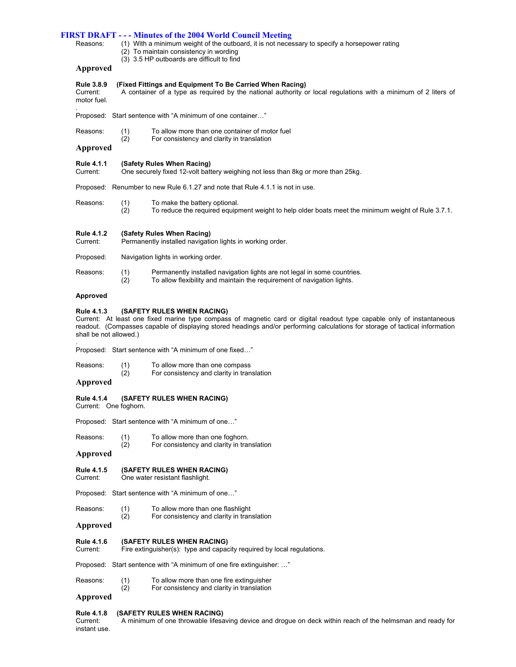Reasons: (1) With a minimum weight of the outboard, it is not necessary to specify a horsepower rating

- (2) To maintain consistency in wording
	- (3) 3.5 HP outboards are difficult to find

### **Approved**

### **Rule 3.8.9 (Fixed Fittings and Equipment To Be Carried When Racing)**

Current: A container of a type as required by the national authority or local regulations with a minimum of 2 liters of motor fuel.

. Proposed: Start sentence with "A minimum of one container…"

| Reasons: | (1) | To allow more than one container of motor fuel |
|----------|-----|------------------------------------------------|
|----------|-----|------------------------------------------------|

(2) For consistency and clarity in translation

**Approved**

**Rule 4.1.1 (Safety Rules When Racing)** 

Current: One securely fixed 12-volt battery weighing not less than 8kg or more than 25kg.

Proposed: Renumber to new Rule 6.1.27 and note that Rule 4.1.1 is not in use.

- Reasons: (1) To make the battery optional.
	- (2) To reduce the required equipment weight to help older boats meet the minimum weight of Rule 3.7.1.

### **Rule 4.1.2 (Safety Rules When Racing)**

Current: Permanently installed navigation lights in working order.

Proposed: Navigation lights in working order.

- Reasons: (1) Permanently installed navigation lights are not legal in some countries.
	- (2) To allow flexibility and maintain the requirement of navigation lights.

#### **Approved**

#### **Rule 4.1.3 (SAFETY RULES WHEN RACING)**

Current: At least one fixed marine type compass of magnetic card or digital readout type capable only of instantaneous readout. (Compasses capable of displaying stored headings and/or performing calculations for storage of tactical information shall be not allowed.)

. Proposed: Start sentence with "A minimum of one fixed…"

- Reasons: (1) To allow more than one compass
- (2) For consistency and clarity in translation

### **Approved**

**Rule 4.1.4 (SAFETY RULES WHEN RACING)** 

Current: One foghorn.

Proposed: Start sentence with "A minimum of one…"

- Reasons: (1) To allow more than one foghorn.
- (2) For consistency and clarity in translation

#### **Approved**

- **Rule 4.1.5 (SAFETY RULES WHEN RACING)**
- Current: One water resistant flashlight.

Proposed: Start sentence with "A minimum of one…"

- Reasons: (1) To allow more than one flashlight
- (2) For consistency and clarity in translation

### **Approved**

**Rule 4.1.6 (SAFETY RULES WHEN RACING)** 

Current: Fire extinguisher(s): type and capacity required by local regulations.

Proposed: Start sentence with "A minimum of one fire extinguisher: …"

- Reasons: (1) To allow more than one fire extinguisher
- (2) For consistency and clarity in translation

### **Approved**

#### **Rule 4.1.8 (SAFETY RULES WHEN RACING)**

Current: A minimum of one throwable lifesaving device and drogue on deck within reach of the helmsman and ready for instant use.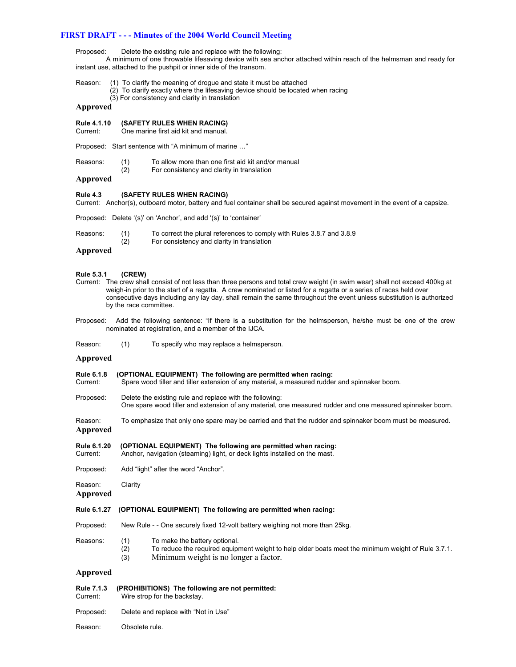Proposed: Delete the existing rule and replace with the following:

 A minimum of one throwable lifesaving device with sea anchor attached within reach of the helmsman and ready for instant use, attached to the pushpit or inner side of the transom.

- Reason: (1) To clarify the meaning of drogue and state it must be attached
	- (2) To clarify exactly where the lifesaving device should be located when racing
	- (3) For consistency and clarity in translation

### **Approved**

**Rule 4.1.10 (SAFETY RULES WHEN RACING)** 

Current: One marine first aid kit and manual.

Proposed: Start sentence with "A minimum of marine …"

- Reasons: (1) To allow more than one first aid kit and/or manual<br>(2) For consistency and clarity in translation
	- For consistency and clarity in translation

### **Approved**

#### **Rule 4.3 (SAFETY RULES WHEN RACING)**

Current: Anchor(s), outboard motor, battery and fuel container shall be secured against movement in the event of a capsize.

Proposed: Delete '(s)' on 'Anchor', and add '(s)' to 'container'

| Reasons: |     | To correct the plural references to comply with Rules 3.8.7 and 3.8.9 |
|----------|-----|-----------------------------------------------------------------------|
|          | (2) | For consistency and clarity in translation                            |

#### **Approved**

#### **Rule 5.3.1 (CREW)**

- Current: The crew shall consist of not less than three persons and total crew weight (in swim wear) shall not exceed 400kg at weigh-in prior to the start of a regatta. A crew nominated or listed for a regatta or a series of races held over consecutive days including any lay day, shall remain the same throughout the event unless substitution is authorized by the race committee.
- Proposed: Add the following sentence: "If there is a substitution for the helmsperson, he/she must be one of the crew nominated at registration, and a member of the IJCA.
- Reason: (1) To specify who may replace a helmsperson.

#### **Approved**

#### **Rule 6.1.8 (OPTIONAL EQUIPMENT) The following are permitted when racing:**

- Current: Spare wood tiller and tiller extension of any material, a measured rudder and spinnaker boom.
- Proposed: Delete the existing rule and replace with the following: One spare wood tiller and extension of any material, one measured rudder and one measured spinnaker boom.
- Reason: To emphasize that only one spare may be carried and that the rudder and spinnaker boom must be measured. **Approved**
- **Rule 6.1.20 (OPTIONAL EQUIPMENT) The following are permitted when racing:**  Current: Anchor, navigation (steaming) light, or deck lights installed on the mast.
- Proposed: Add "light" after the word "Anchor".
- Reason: Clarity

**Approved**

#### **Rule 6.1.27 (OPTIONAL EQUIPMENT) The following are permitted when racing:**

- Proposed: New Rule - One securely fixed 12-volt battery weighing not more than 25kg.
- Reasons: (1) To make the battery optional.
	- (2) To reduce the required equipment weight to help older boats meet the minimum weight of Rule 3.7.1.
	- (3) Minimum weight is no longer a factor.

#### **Approved**

# **Rule 7.1.3 (PROHIBITIONS) The following are not permitted:**

- Wire strop for the backstay.
- Proposed: Delete and replace with "Not in Use"

Reason: Obsolete rule.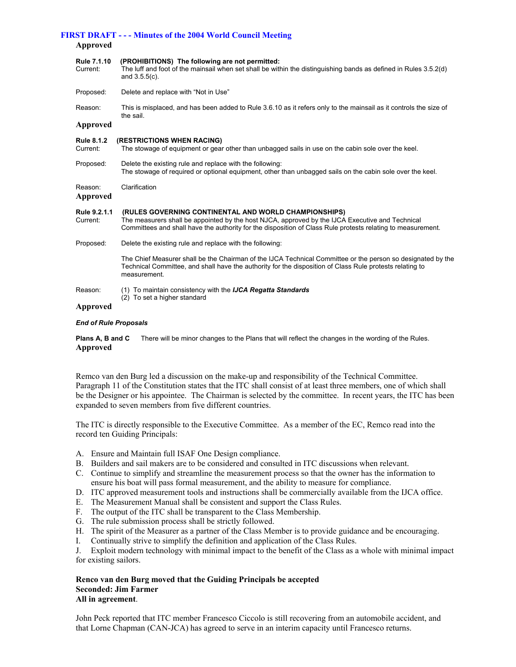### **Approved**

| Rule 7.1.10<br>Current:       | (PROHIBITIONS) The following are not permitted:<br>The luff and foot of the mainsail when set shall be within the distinguishing bands as defined in Rules 3.5.2(d)<br>and $3.5.5(c)$ .                                                                                 |
|-------------------------------|-------------------------------------------------------------------------------------------------------------------------------------------------------------------------------------------------------------------------------------------------------------------------|
| Proposed:                     | Delete and replace with "Not in Use"                                                                                                                                                                                                                                    |
| Reason:                       | This is misplaced, and has been added to Rule 3.6.10 as it refers only to the mainsail as it controls the size of<br>the sail.                                                                                                                                          |
| Approved                      |                                                                                                                                                                                                                                                                         |
| <b>Rule 8.1.2</b><br>Current: | (RESTRICTIONS WHEN RACING)<br>The stowage of equipment or gear other than unbagged sails in use on the cabin sole over the keel.                                                                                                                                        |
| Proposed:                     | Delete the existing rule and replace with the following:<br>The stowage of required or optional equipment, other than unbagged sails on the cabin sole over the keel.                                                                                                   |
| Reason:<br><b>Approved</b>    | Clarification                                                                                                                                                                                                                                                           |
| Rule 9.2.1.1<br>Current:      | (RULES GOVERNING CONTINENTAL AND WORLD CHAMPIONSHIPS)<br>The measurers shall be appointed by the host NJCA, approved by the IJCA Executive and Technical<br>Committees and shall have the authority for the disposition of Class Rule protests relating to measurement. |
| Proposed:                     | Delete the existing rule and replace with the following:                                                                                                                                                                                                                |
|                               | The Chief Measurer shall be the Chairman of the IJCA Technical Committee or the person so designated by the<br>Technical Committee, and shall have the authority for the disposition of Class Rule protests relating to<br>measurement.                                 |
| Reason:                       | (1) To maintain consistency with the <b>IJCA Regatta Standards</b><br>(2) To set a higher standard                                                                                                                                                                      |
| Approved                      |                                                                                                                                                                                                                                                                         |

#### *End of Rule Proposals*

**Plans A, B and C** There will be minor changes to the Plans that will reflect the changes in the wording of the Rules. **Approved**

Remco van den Burg led a discussion on the make-up and responsibility of the Technical Committee. Paragraph 11 of the Constitution states that the ITC shall consist of at least three members, one of which shall be the Designer or his appointee. The Chairman is selected by the committee. In recent years, the ITC has been expanded to seven members from five different countries.

The ITC is directly responsible to the Executive Committee. As a member of the EC, Remco read into the record ten Guiding Principals:

- A. Ensure and Maintain full ISAF One Design compliance.
- B. Builders and sail makers are to be considered and consulted in ITC discussions when relevant.
- C. Continue to simplify and streamline the measurement process so that the owner has the information to ensure his boat will pass formal measurement, and the ability to measure for compliance.
- D. ITC approved measurement tools and instructions shall be commercially available from the IJCA office.
- E. The Measurement Manual shall be consistent and support the Class Rules.
- F. The output of the ITC shall be transparent to the Class Membership.
- G. The rule submission process shall be strictly followed.
- H. The spirit of the Measurer as a partner of the Class Member is to provide guidance and be encouraging.
- I. Continually strive to simplify the definition and application of the Class Rules.
- J. Exploit modern technology with minimal impact to the benefit of the Class as a whole with minimal impact for existing sailors.

### **Renco van den Burg moved that the Guiding Principals be accepted Seconded: Jim Farmer All in agreement**.

John Peck reported that ITC member Francesco Ciccolo is still recovering from an automobile accident, and that Lorne Chapman (CAN-JCA) has agreed to serve in an interim capacity until Francesco returns.